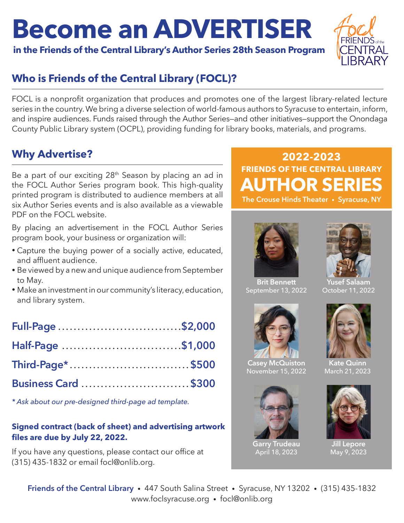# **Become an ADVERTISER**

**in the Friends of the Central Library's Author Series 28th Season Program**



# **Who is Friends of the Central Library (FOCL)?**

FOCL is a nonprofit organization that produces and promotes one of the largest library-related lecture series in the country. We bring a diverse selection of world-famous authors to Syracuse to entertain, inform, and inspire audiences. Funds raised through the Author Series—and other initiatives—support the Onondaga County Public Library system (OCPL), providing funding for library books, materials, and programs.

## **Why Advertise?**

Be a part of our exciting  $28<sup>th</sup>$  Season by placing an ad in the FOCL Author Series program book. This high-quality printed program is distributed to audience members at all six Author Series events and is also available as a viewable PDF on the FOCL website.

By placing an advertisement in the FOCL Author Series program book, your business or organization will:

- Capture the buying power of a socially active, educated, and affluent audience.
- Be viewed by a new and unique audience from September to May.
- Make an investment in our community's literacy, education, and library system.

| Full-Page \$2,000   |  |
|---------------------|--|
| Half-Page \$1,000   |  |
| Third-Page*\$500    |  |
| Business Card \$300 |  |

*\* Ask about our pre-designed third-page ad template.*

#### **Signed contract (back of sheet) and advertising artwork files are due by July 22, 2022.**

If you have any questions, please contact our office at (315) 435-1832 or email focl@onlib.org.

# **FRIENDS OF THE CENTRAL LIBRARY AUTHOR SERIES 2022-2023**





**Brit Bennett** September 13, 2022



**Casey McQuiston** November 15, 2022



**Garry Trudeau** April 18, 2023



**Yusef Salaam** October 11, 2022



**Kate Quinn** March 21, 2023



**Jill Lepore** May 9, 2023